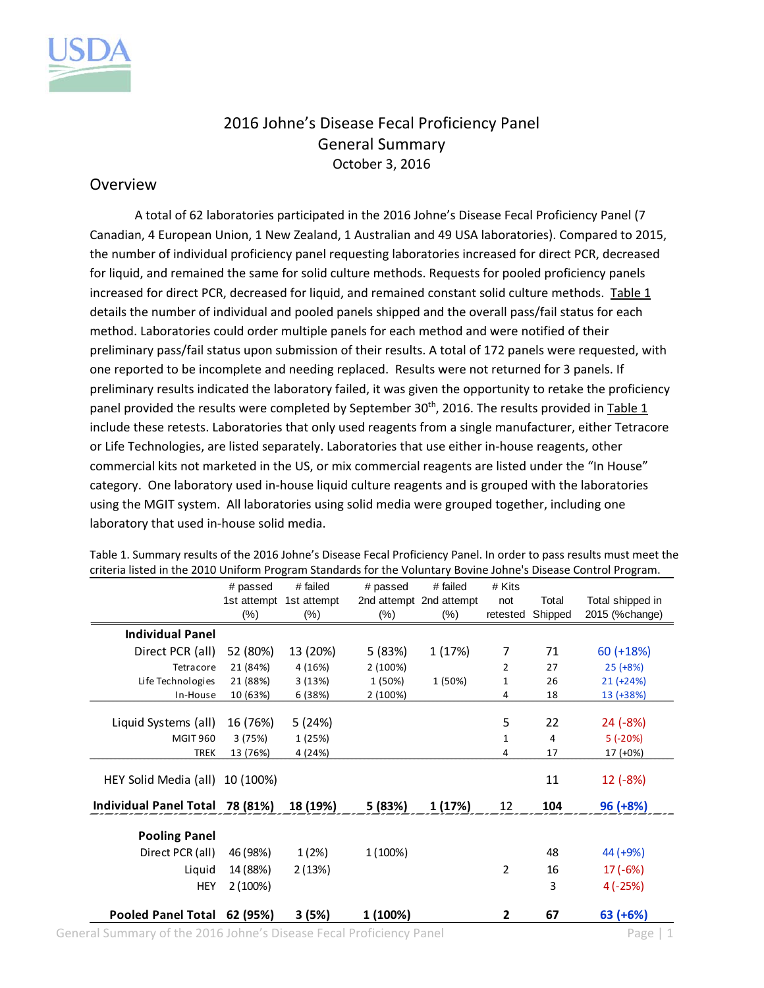

## 2016 Johne's Disease Fecal Proficiency Panel General Summary October 3, 2016

## Overview

A total of 62 laboratories participated in the 2016 Johne's Disease Fecal Proficiency Panel (7 Canadian, 4 European Union, 1 New Zealand, 1 Australian and 49 USA laboratories). Compared to 2015, the number of individual proficiency panel requesting laboratories increased for direct PCR, decreased for liquid, and remained the same for solid culture methods. Requests for pooled proficiency panels increased for direct PCR, decreased for liquid, and remained constant solid culture methods. Table 1 details the number of individual and pooled panels shipped and the overall pass/fail status for each method. Laboratories could order multiple panels for each method and were notified of their preliminary pass/fail status upon submission of their results. A total of 172 panels were requested, with one reported to be incomplete and needing replaced. Results were not returned for 3 panels. If preliminary results indicated the laboratory failed, it was given the opportunity to retake the proficiency panel provided the results were completed by September 30<sup>th</sup>, 2016. The results provided in Table 1 include these retests. Laboratories that only used reagents from a single manufacturer, either Tetracore or Life Technologies, are listed separately. Laboratories that use either in‐house reagents, other commercial kits not marketed in the US, or mix commercial reagents are listed under the "In House" category. One laboratory used in‐house liquid culture reagents and is grouped with the laboratories using the MGIT system. All laboratories using solid media were grouped together, including one laboratory that used in‐house solid media.

|                                 | # passed    | # failed    | # passed | # failed                | # Kits         |         |                  |
|---------------------------------|-------------|-------------|----------|-------------------------|----------------|---------|------------------|
|                                 | 1st attempt | 1st attempt |          | 2nd attempt 2nd attempt | not            | Total   | Total shipped in |
|                                 | $(\%)$      | $(\%)$      | $(\%)$   | $(\%)$                  | retested       | Shipped | 2015 (%change)   |
| <b>Individual Panel</b>         |             |             |          |                         |                |         |                  |
| Direct PCR (all)                | 52 (80%)    | 13 (20%)    | 5 (83%)  | 1 (17%)                 | 7              | 71      | $60 (+18%)$      |
| Tetracore                       | 21 (84%)    | 4 (16%)     | 2(100%)  |                         | $\overline{2}$ | 27      | $25 (+8%)$       |
| Life Technologies               | 21 (88%)    | 3(13%)      | 1 (50%)  | 1 (50%)                 | 1              | 26      | $21 (+24%)$      |
| In-House                        | 10 (63%)    | 6 (38%)     | 2 (100%) |                         | 4              | 18      | 13 (+38%)        |
|                                 |             |             |          |                         |                |         |                  |
| Liquid Systems (all)            | 16 (76%)    | 5(24%)      |          |                         | 5              | 22      | 24 (-8%)         |
| <b>MGIT 960</b>                 | 3(75%)      | 1 (25%)     |          |                         | 1              | 4       | $5(-20%)$        |
| <b>TREK</b>                     | 13 (76%)    | 4 (24%)     |          |                         | 4              | 17      | 17 (+0%)         |
| HEY Solid Media (all)           | 10 (100%)   |             |          |                         |                | 11      | $12(-8%)$        |
| Individual Panel Total 78 (81%) |             | 18 (19%)    | 5 (83%)  | 1 (17%)                 | 12             | 104     | $96 (+8%)$       |
|                                 |             |             |          |                         |                |         |                  |
| <b>Pooling Panel</b>            |             |             |          |                         |                |         |                  |
| Direct PCR (all)                | 46 (98%)    | 1(2%)       | 1 (100%) |                         |                | 48      | 44 (+9%)         |
| Liquid                          | 14 (88%)    | 2(13%)      |          |                         | 2              | 16      | $17(-6%)$        |
| <b>HEY</b>                      | 2(100%)     |             |          |                         |                | 3       | $4(-25%)$        |
|                                 |             |             |          |                         |                |         |                  |
| <b>Pooled Panel Total</b>       | 62 (95%)    | 3(5%)       | 1 (100%) |                         | 2              | 67      | $63 (+6%)$       |

Table 1. Summary results of the 2016 Johne's Disease Fecal Proficiency Panel. In order to pass results must meet the criteria listed in the 2010 Uniform Program Standards for the Voluntary Bovine Johne's Disease Control Program.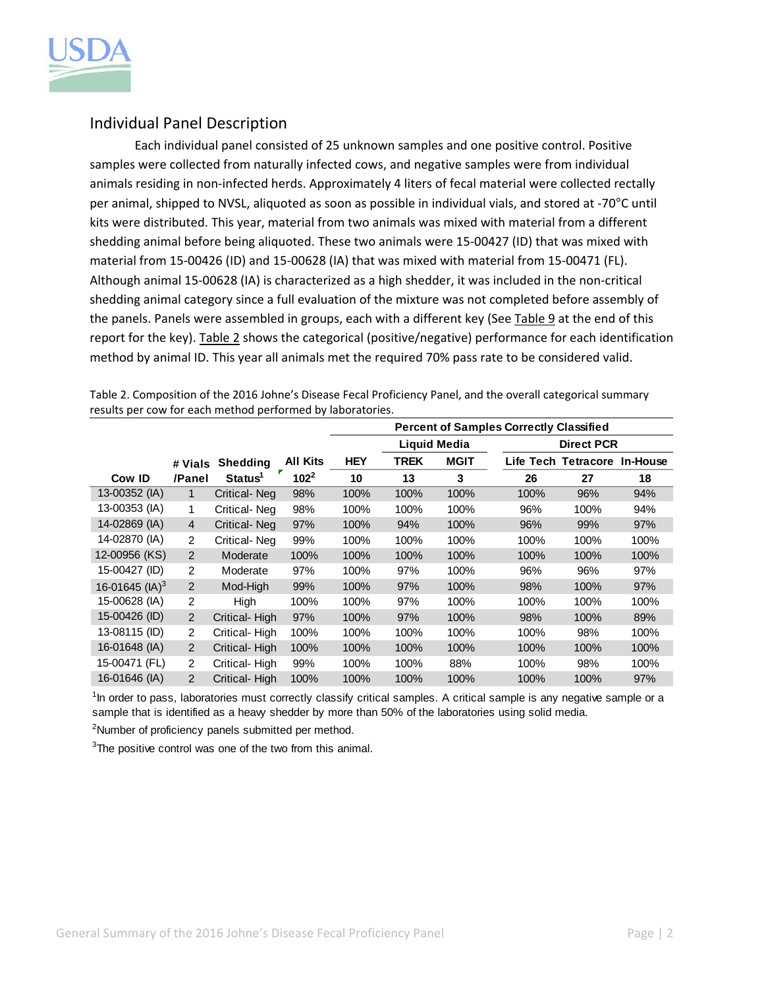

## Individual Panel Description

Each individual panel consisted of 25 unknown samples and one positive control. Positive samples were collected from naturally infected cows, and negative samples were from individual animals residing in non-infected herds. Approximately 4 liters of fecal material were collected rectally per animal, shipped to NVSL, aliquoted as soon as possible in individual vials, and stored at ‐70°C until kits were distributed. This year, material from two animals was mixed with material from a different shedding animal before being aliquoted. These two animals were 15‐00427 (ID) that was mixed with material from 15‐00426 (ID) and 15‐00628 (IA) that was mixed with material from 15‐00471 (FL). Although animal 15‐00628 (IA) is characterized as a high shedder, it was included in the non‐critical shedding animal category since a full evaluation of the mixture was not completed before assembly of the panels. Panels were assembled in groups, each with a different key (See Table 9 at the end of this report for the key). Table 2 shows the categorical (positive/negative) performance for each identification method by animal ID. This year all animals met the required 70% pass rate to be considered valid.

|                            |                |                     |                 | <b>Percent of Samples Correctly Classified</b> |             |                     |      |                     |          |  |
|----------------------------|----------------|---------------------|-----------------|------------------------------------------------|-------------|---------------------|------|---------------------|----------|--|
|                            |                |                     |                 |                                                |             | <b>Liquid Media</b> |      | <b>Direct PCR</b>   |          |  |
|                            | # Vials        | <b>Shedding</b>     | <b>All Kits</b> | <b>HEY</b>                                     | <b>TREK</b> | <b>MGIT</b>         |      | Life Tech Tetracore | In-House |  |
| Cow ID                     | /Panel         | Status <sup>1</sup> | $102^2$         | 10                                             | 13          | 3                   | 26   | 27                  | 18       |  |
| 13-00352 (IA)              | 1              | Critical-Neg        | 98%             | 100%                                           | 100%        | 100%                | 100% | 96%                 | 94%      |  |
| 13-00353 (IA)              | 1              | Critical-Neg        | 98%             | 100%                                           | 100%        | 100%                | 96%  | 100%                | 94%      |  |
| 14-02869 (IA)              | $\overline{4}$ | Critical-Neg        | 97%             | 100%                                           | 94%         | 100%                | 96%  | 99%                 | 97%      |  |
| 14-02870 (IA)              | $\overline{2}$ | Critical-Neg        | 99%             | 100%                                           | 100%        | 100%                | 100% | 100%                | 100%     |  |
| 12-00956 (KS)              | 2              | Moderate            | 100%            | 100%                                           | 100%        | 100%                | 100% | 100%                | 100%     |  |
| 15-00427 (ID)              | $\overline{2}$ | Moderate            | 97%             | 100%                                           | 97%         | 100%                | 96%  | 96%                 | 97%      |  |
| 16-01645 (IA) <sup>3</sup> | 2              | Mod-High            | 99%             | 100%                                           | 97%         | 100%                | 98%  | 100%                | 97%      |  |
| 15-00628 (IA)              | 2              | High                | 100%            | 100%                                           | 97%         | 100%                | 100% | 100%                | 100%     |  |
| 15-00426 (ID)              | $\overline{2}$ | Critical-High       | 97%             | 100%                                           | 97%         | 100%                | 98%  | 100%                | 89%      |  |
| 13-08115 (ID)              | $\overline{2}$ | Critical-High       | 100%            | 100%                                           | 100%        | 100%                | 100% | 98%                 | 100%     |  |
| 16-01648 (IA)              | $\overline{2}$ | Critical-High       | 100%            | 100%                                           | 100%        | 100%                | 100% | 100%                | 100%     |  |
| 15-00471 (FL)              | $\overline{2}$ | Critical-High       | 99%             | 100%                                           | 100%        | 88%                 | 100% | 98%                 | 100%     |  |
| 16-01646 (IA)              | 2              | Critical-High       | 100%            | 100%                                           | 100%        | 100%                | 100% | 100%                | 97%      |  |

Table 2. Composition of the 2016 Johne's Disease Fecal Proficiency Panel, and the overall categorical summary results per cow for each method performed by laboratories

<sup>1</sup>In order to pass, laboratories must correctly classify critical samples. A critical sample is any negative sample or a sample that is identified as a heavy shedder by more than 50% of the laboratories using solid media.

<sup>2</sup>Number of proficiency panels submitted per method.

 $3$ The positive control was one of the two from this animal.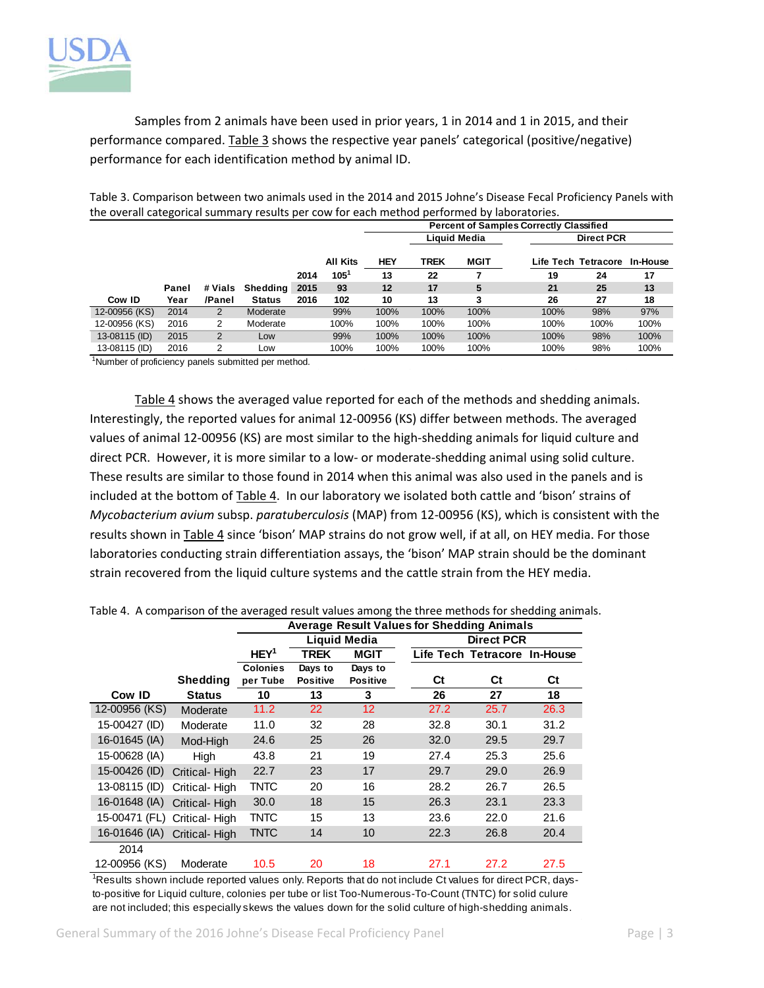

Samples from 2 animals have been used in prior years, 1 in 2014 and 1 in 2015, and their performance compared. Table 3 shows the respective year panels' categorical (positive/negative) performance for each identification method by animal ID.

|               | the overall categorical summary results per cow for each method performed by laboratories. |         |               |      |                 |                                                |              |             |      |                              |      |
|---------------|--------------------------------------------------------------------------------------------|---------|---------------|------|-----------------|------------------------------------------------|--------------|-------------|------|------------------------------|------|
|               |                                                                                            |         |               |      |                 | <b>Percent of Samples Correctly Classified</b> |              |             |      |                              |      |
|               |                                                                                            |         |               |      |                 |                                                | Liquid Media |             |      | <b>Direct PCR</b>            |      |
|               |                                                                                            |         |               |      | <b>All Kits</b> | HEY                                            | TREK         | <b>MGIT</b> |      | Life Tech Tetracore In-House |      |
|               |                                                                                            |         |               | 2014 | $105^{1}$       | 13                                             | 22           |             | 19   | 24                           | 17   |
|               | Panel                                                                                      | # Vials | Shedding      | 2015 | 93              | 12                                             | 17           | 5           | 21   | 25                           | 13   |
| Cow ID        | Year                                                                                       | /Panel  | <b>Status</b> | 2016 | 102             | 10                                             | 13           |             | 26   | 27                           | 18   |
| 12-00956 (KS) | 2014                                                                                       | 2       | Moderate      |      | 99%             | 100%                                           | 100%         | 100%        | 100% | 98%                          | 97%  |
| 12-00956 (KS) | 2016                                                                                       | 2       | Moderate      |      | 100%            | 100%                                           | 100%         | 100%        | 100% | 100%                         | 100% |
| 13-08115 (ID) | 2015                                                                                       | 2       | Low           |      | 99%             | 100%                                           | 100%         | 100%        | 100% | 98%                          | 100% |
| 13-08115 (ID) | 2016                                                                                       | 2       | Low           |      | 100%            | 100%                                           | 100%         | 100%        | 100% | 98%                          | 100% |
|               |                                                                                            |         |               |      |                 |                                                |              |             |      |                              |      |

Table 3. Comparison between two animals used in the 2014 and 2015 Johne's Disease Fecal Proficiency Panels with the overall categorical summary results per cow for each method performed by laboratories.

<sup>1</sup>Number of proficiency panels submitted per method.

Table 4 shows the averaged value reported for each of the methods and shedding animals. Interestingly, the reported values for animal 12‐00956 (KS) differ between methods. The averaged values of animal 12-00956 (KS) are most similar to the high-shedding animals for liquid culture and direct PCR. However, it is more similar to a low‐ or moderate‐shedding animal using solid culture. These results are similar to those found in 2014 when this animal was also used in the panels and is included at the bottom of Table 4. In our laboratory we isolated both cattle and 'bison' strains of *Mycobacterium avium* subsp. *paratuberculosis* (MAP) from 12‐00956 (KS), which is consistent with the results shown in Table 4 since 'bison' MAP strains do not grow well, if at all, on HEY media. For those laboratories conducting strain differentiation assays, the 'bison' MAP strain should be the dominant strain recovered from the liquid culture systems and the cattle strain from the HEY media.

|                             |                 | <b>Average Result Values for Shedding Animals</b> |                 |                     |      |                              |      |
|-----------------------------|-----------------|---------------------------------------------------|-----------------|---------------------|------|------------------------------|------|
|                             |                 |                                                   |                 | <b>Liquid Media</b> |      | <b>Direct PCR</b>            |      |
|                             |                 | HEY <sup>1</sup>                                  | TREK            | <b>MGIT</b>         |      | Life Tech Tetracore In-House |      |
|                             |                 | <b>Colonies</b>                                   | Days to         | Days to             |      |                              |      |
|                             | <b>Shedding</b> | per Tube                                          | <b>Positive</b> | <b>Positive</b>     | Ct   | Ct                           | Ct   |
| Cow ID                      | <b>Status</b>   | 10                                                | 13              | 3                   | 26   | 27                           | 18   |
| 12-00956 (KS)               | Moderate        | 11.2                                              | 22              | 12 <sub>2</sub>     | 27.2 | 25.7                         | 26.3 |
| 15-00427 (ID)               | Moderate        | 11.0                                              | 32              | 28                  | 32.8 | 30.1                         | 31.2 |
| 16-01645 (IA)               | Mod-High        | 24.6                                              | 25              | 26                  | 32.0 | 29.5                         | 29.7 |
| 15-00628 (IA)               | High            | 43.8                                              | 21              | 19                  | 27.4 | 25.3                         | 25.6 |
| 15-00426 (ID)               | Critical-High   | 22.7                                              | 23              | 17                  | 29.7 | 29.0                         | 26.9 |
| 13-08115 (ID)               | Critical-High   | TNTC                                              | 20              | 16                  | 28.2 | 26.7                         | 26.5 |
| 16-01648 (IA)               | Critical-High   | 30.0                                              | 18              | 15                  | 26.3 | 23.1                         | 23.3 |
| 15-00471 (FL) Critical-High |                 | TNTC                                              | 15              | 13                  | 23.6 | 22.0                         | 21.6 |
| 16-01646 (IA)               | Critical-High   | <b>TNTC</b>                                       | 14              | 10                  | 22.3 | 26.8                         | 20.4 |
| 2014                        |                 |                                                   |                 |                     |      |                              |      |
| 12-00956 (KS)               | Moderate        | 10.5                                              | 20              | 18                  | 27.1 | 27.2                         | 27.5 |

Table 4. A comparison of the averaged result values among the three methods for shedding animals.

<sup>1</sup>Results shown include reported values only. Reports that do not include Ct values for direct PCR, daysto-positive for Liquid culture, colonies per tube or list Too-Numerous-To-Count (TNTC) for solid culure are not included; this especially skews the values down for the solid culture of high-shedding animals.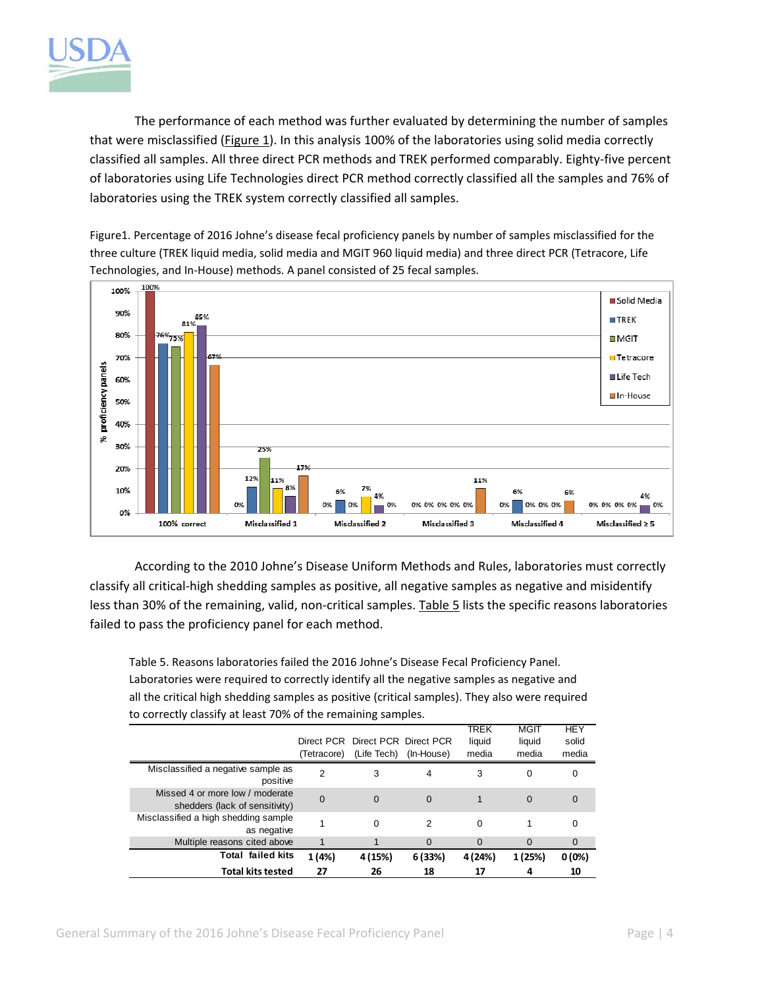

The performance of each method was further evaluated by determining the number of samples that were misclassified (Figure 1). In this analysis 100% of the laboratories using solid media correctly classified all samples. All three direct PCR methods and TREK performed comparably. Eighty‐five percent of laboratories using Life Technologies direct PCR method correctly classified all the samples and 76% of laboratories using the TREK system correctly classified all samples.

Figure1. Percentage of 2016 Johne's disease fecal proficiency panels by number of samples misclassified for the three culture (TREK liquid media, solid media and MGIT 960 liquid media) and three direct PCR (Tetracore, Life Technologies, and In‐House) methods. A panel consisted of 25 fecal samples.



According to the 2010 Johne's Disease Uniform Methods and Rules, laboratories must correctly classify all critical‐high shedding samples as positive, all negative samples as negative and misidentify less than 30% of the remaining, valid, non-critical samples. Table 5 lists the specific reasons laboratories failed to pass the proficiency panel for each method.

Table 5. Reasons laboratories failed the 2016 Johne's Disease Fecal Proficiency Panel. Laboratories were required to correctly identify all the negative samples as negative and all the critical high shedding samples as positive (critical samples). They also were required to correctly classify at least 70% of the remaining samples.

|                                                                   |               |                                  |            | TREK     | <b>MGIT</b> | <b>HEY</b> |
|-------------------------------------------------------------------|---------------|----------------------------------|------------|----------|-------------|------------|
|                                                                   |               | Direct PCR Direct PCR Direct PCR |            | liquid   | liquid      | solid      |
|                                                                   | (Tetracore)   | (Life Tech)                      | (In-House) | media    | media       | media      |
| Misclassified a negative sample as<br>positive                    | $\mathcal{P}$ | 3                                | 4          | 3        | 0           | 0          |
| Missed 4 or more low / moderate<br>shedders (lack of sensitivity) | $\Omega$      | $\Omega$                         | $\Omega$   |          | $\Omega$    | 0          |
| Misclassified a high shedding sample<br>as negative               |               | $\Omega$                         | 2          | $\Omega$ |             | 0          |
| Multiple reasons cited above                                      |               |                                  | $\Omega$   | $\Omega$ | $\Omega$    | $\Omega$   |
| Total failed kits                                                 | 1 (4%)        | 4 (15%)                          | 6(33%)     | 4 (24%)  | 1 (25%)     | 0(0%)      |
| <b>Total kits tested</b>                                          | 27            | 26                               | 18         | 17       | 4           | 10         |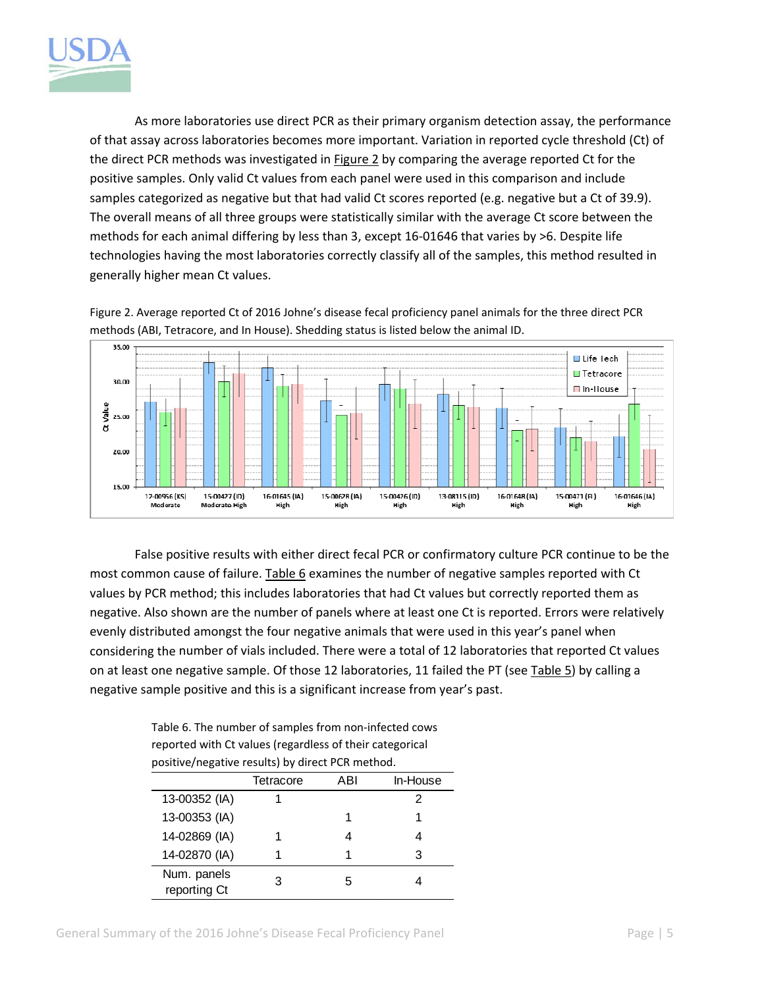

As more laboratories use direct PCR as their primary organism detection assay, the performance of that assay across laboratories becomes more important. Variation in reported cycle threshold (Ct) of the direct PCR methods was investigated in Figure 2 by comparing the average reported Ct for the positive samples. Only valid Ct values from each panel were used in this comparison and include samples categorized as negative but that had valid Ct scores reported (e.g. negative but a Ct of 39.9). The overall means of all three groups were statistically similar with the average Ct score between the methods for each animal differing by less than 3, except 16‐01646 that varies by >6. Despite life technologies having the most laboratories correctly classify all of the samples, this method resulted in generally higher mean Ct values.

Figure 2. Average reported Ct of 2016 Johne's disease fecal proficiency panel animals for the three direct PCR methods (ABI, Tetracore, and In House). Shedding status is listed below the animal ID.



False positive results with either direct fecal PCR or confirmatory culture PCR continue to be the most common cause of failure. Table 6 examines the number of negative samples reported with Ct values by PCR method; this includes laboratories that had Ct values but correctly reported them as negative. Also shown are the number of panels where at least one Ct is reported. Errors were relatively evenly distributed amongst the four negative animals that were used in this year's panel when considering the number of vials included. There were a total of 12 laboratories that reported Ct values on at least one negative sample. Of those 12 laboratories, 11 failed the PT (see Table 5) by calling a negative sample positive and this is a significant increase from year's past.

Table 6. The number of samples from non‐infected cows reported with Ct values (regardless of their categorical positive/negative results) by direct PCR method.

| positive, increasing to exist of an over entimetric an |           |     |          |  |  |  |  |
|--------------------------------------------------------|-----------|-----|----------|--|--|--|--|
|                                                        | Tetracore | ABI | In-House |  |  |  |  |
| 13-00352 (IA)                                          |           |     | 2        |  |  |  |  |
| 13-00353 (IA)                                          |           |     |          |  |  |  |  |
| 14-02869 (IA)                                          |           |     |          |  |  |  |  |
| 14-02870 (IA)                                          |           |     | 3        |  |  |  |  |
| Num. panels<br>reporting Ct                            | З         | 5   |          |  |  |  |  |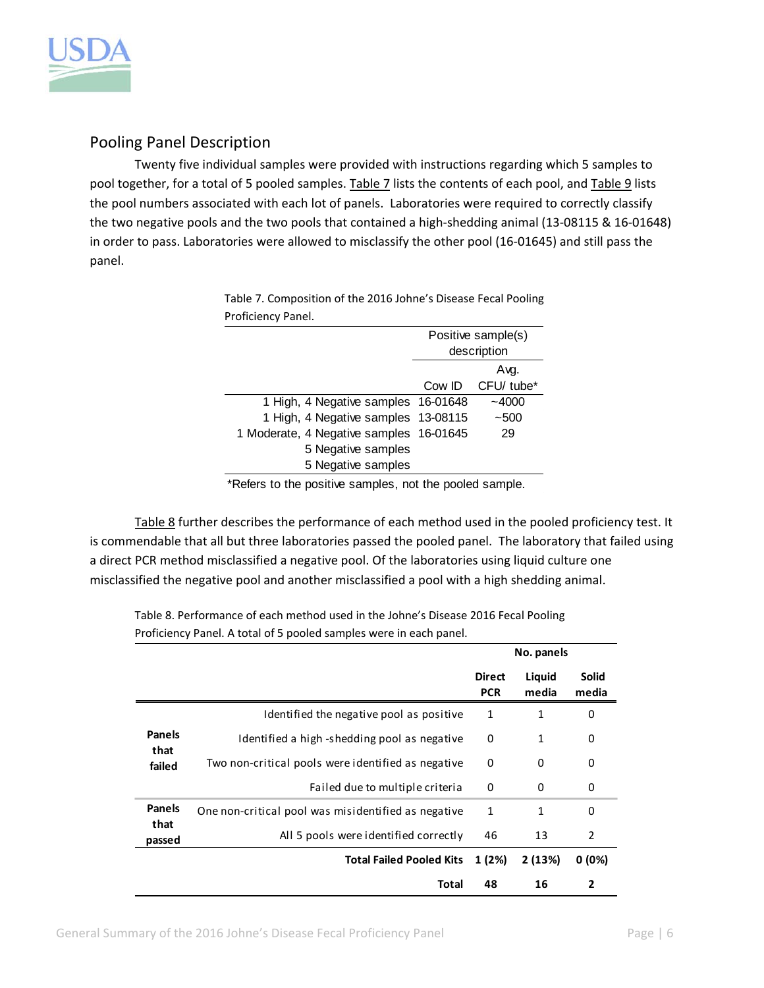

## Pooling Panel Description

Twenty five individual samples were provided with instructions regarding which 5 samples to pool together, for a total of 5 pooled samples. Table 7 lists the contents of each pool, and Table 9 lists the pool numbers associated with each lot of panels. Laboratories were required to correctly classify the two negative pools and the two pools that contained a high‐shedding animal (13‐08115 & 16‐01648) in order to pass. Laboratories were allowed to misclassify the other pool (16‐01645) and still pass the panel.

> Table 7. Composition of the 2016 Johne's Disease Fecal Pooling Proficiency Panel.

|                                         | Positive sample(s) |                   |  |
|-----------------------------------------|--------------------|-------------------|--|
|                                         | description        |                   |  |
|                                         |                    | Avg.              |  |
|                                         |                    | Cow ID CFU/ tube* |  |
| 1 High, 4 Negative samples 16-01648     |                    | $-4000$           |  |
| 1 High, 4 Negative samples 13-08115     |                    | $-500$            |  |
| 1 Moderate, 4 Negative samples 16-01645 |                    | 29                |  |
| 5 Negative samples                      |                    |                   |  |
| 5 Negative samples                      |                    |                   |  |

\*Refers to the positive samples, not the pooled sample.

Table 8 further describes the performance of each method used in the pooled proficiency test. It is commendable that all but three laboratories passed the pooled panel. The laboratory that failed using a direct PCR method misclassified a negative pool. Of the laboratories using liquid culture one misclassified the negative pool and another misclassified a pool with a high shedding animal.

Table 8. Performance of each method used in the Johne's Disease 2016 Fecal Pooling Proficiency Panel. A total of 5 pooled samples were in each panel.

|                                 |                                                     |                             | No. panels      |                       |
|---------------------------------|-----------------------------------------------------|-----------------------------|-----------------|-----------------------|
|                                 |                                                     | <b>Direct</b><br><b>PCR</b> | Liquid<br>media | <b>Solid</b><br>media |
|                                 | Identified the negative pool as positive            | 1                           | 1               | 0                     |
| <b>Panels</b><br>that<br>failed | Identified a high-shedding pool as negative         | 0                           | 1               | 0                     |
|                                 | Two non-critical pools were identified as negative  | 0                           | 0               | 0                     |
|                                 | Failed due to multiple criteria                     | $\Omega$                    | 0               | 0                     |
| <b>Panels</b>                   | One non-critical pool was misidentified as negative | 1                           | 1               | 0                     |
| that<br>passed                  | All 5 pools were identified correctly               | 46                          | 13              | 2                     |
|                                 | <b>Total Failed Pooled Kits</b>                     | 1(2%)                       | 2 (13%)         | $0(0\%)$              |
|                                 | Total                                               | 48                          | 16              | $\mathbf{2}$          |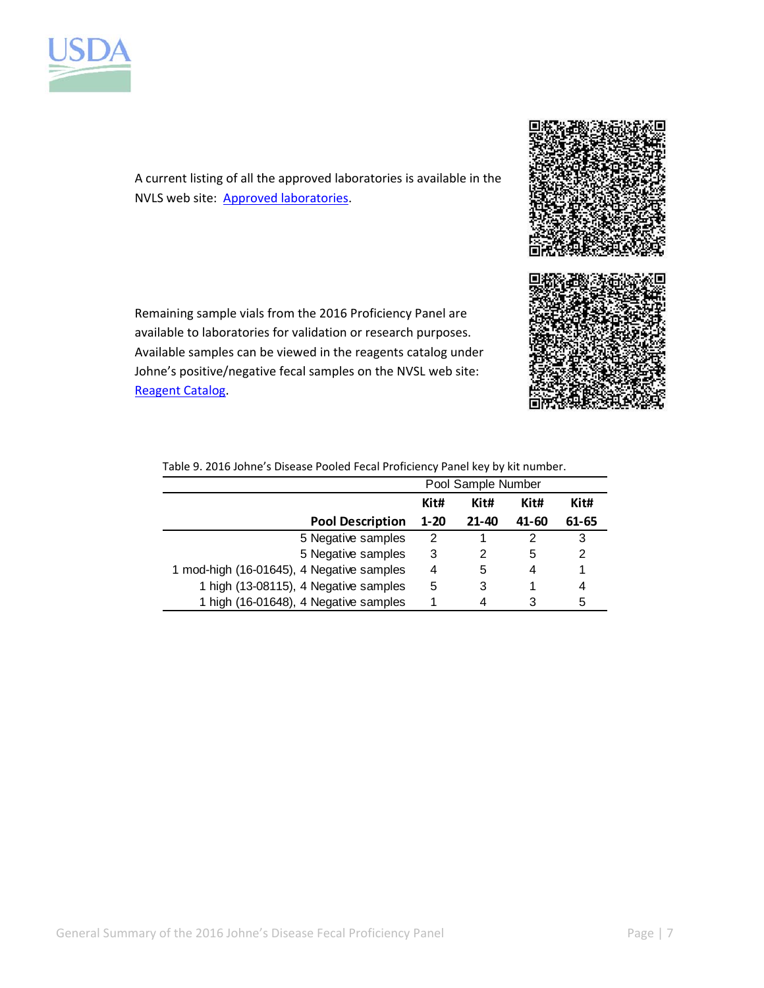



A current listing of all the approved laboratories is available in the NVLS web site: Approved laboratories.

Remaining sample vials from the 2016 Proficiency Panel are available to laboratories for validation or research purposes. Available samples can be viewed in the reagents catalog under Johne's positive/negative fecal samples on the NVSL web site: Reagent Catalog.



|                                           | Pool Sample Number |           |       |       |  |  |  |
|-------------------------------------------|--------------------|-----------|-------|-------|--|--|--|
|                                           | Kit#               | Kit#      | Kit#  | Kit#  |  |  |  |
| <b>Pool Description</b>                   | $1 - 20$           | $21 - 40$ | 41-60 | 61-65 |  |  |  |
| 5 Negative samples                        | 2                  |           | 2     | 3     |  |  |  |
| 5 Negative samples                        | 3                  | 2         | 5     | 2     |  |  |  |
| 1 mod-high (16-01645), 4 Negative samples | 4                  | 5         | 4     |       |  |  |  |
| 1 high (13-08115), 4 Negative samples     | 5                  | 3         |       | 4     |  |  |  |
| 1 high (16-01648), 4 Negative samples     |                    | 4         | 3     | 5     |  |  |  |